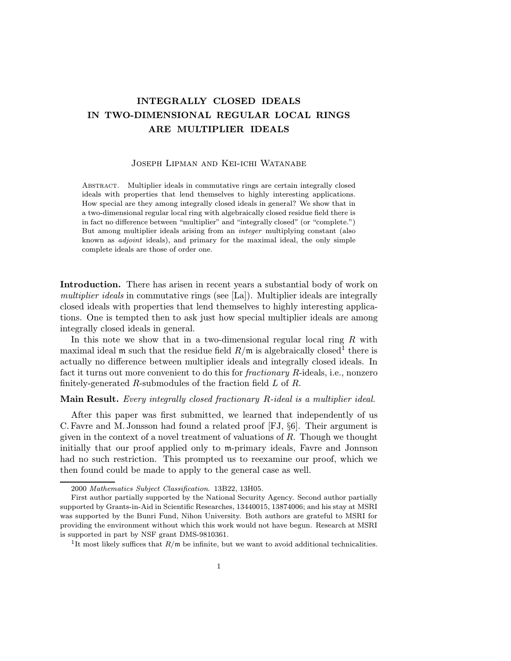## INTEGRALLY CLOSED IDEALS IN TWO-DIMENSIONAL REGULAR LOCAL RINGS ARE MULTIPLIER IDEALS

## Joseph Lipman and Kei-ichi Watanabe

Abstract. Multiplier ideals in commutative rings are certain integrally closed ideals with properties that lend themselves to highly interesting applications. How special are they among integrally closed ideals in general? We show that in a two-dimensional regular local ring with algebraically closed residue field there is in fact no difference between "multiplier" and "integrally closed" (or "complete.") But among multiplier ideals arising from an integer multiplying constant (also known as adjoint ideals), and primary for the maximal ideal, the only simple complete ideals are those of order one.

Introduction. There has arisen in recent years a substantial body of work on multiplier ideals in commutative rings (see [La]). Multiplier ideals are integrally closed ideals with properties that lend themselves to highly interesting applications. One is tempted then to ask just how special multiplier ideals are among integrally closed ideals in general.

In this note we show that in a two-dimensional regular local ring  $R$  with maximal ideal m such that the residue field  $R/m$  is algebraically closed<sup>1</sup> there is actually no difference between multiplier ideals and integrally closed ideals. In fact it turns out more convenient to do this for fractionary R-ideals, i.e., nonzero finitely-generated R-submodules of the fraction field  $L$  of  $R$ .

## Main Result. Every integrally closed fractionary R-ideal is a multiplier ideal.

After this paper was first submitted, we learned that independently of us C. Favre and M.Jonsson had found a related proof [FJ, §6]. Their argument is given in the context of a novel treatment of valuations of R. Though we thought initially that our proof applied only to m-primary ideals, Favre and Jonnson had no such restriction. This prompted us to reexamine our proof, which we then found could be made to apply to the general case as well.

<sup>2000</sup> Mathematics Subject Classification. 13B22, 13H05.

First author partially supported by the National Security Agency. Second author partially supported by Grants-in-Aid in Scientific Researches, 13440015, 13874006; and his stay at MSRI was supported by the Bunri Fund, Nihon University. Both authors are grateful to MSRI for providing the environment without which this work would not have begun. Research at MSRI is supported in part by NSF grant DMS-9810361.

<sup>&</sup>lt;sup>1</sup>It most likely suffices that  $R/\mathfrak{m}$  be infinite, but we want to avoid additional technicalities.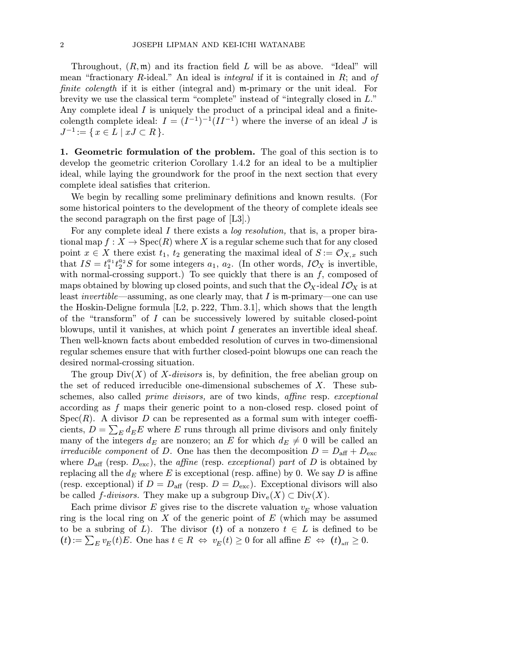Throughout,  $(R, \mathfrak{m})$  and its fraction field L will be as above. "Ideal" will mean "fractionary R-ideal." An ideal is *integral* if it is contained in  $R$ ; and of finite colength if it is either (integral and) m-primary or the unit ideal. For brevity we use the classical term "complete" instead of "integrally closed in L." Any complete ideal I is uniquely the product of a principal ideal and a finitecolength complete ideal:  $I = (I^{-1})^{-1}(II^{-1})$  where the inverse of an ideal J is  $J^{-1} := \{ x \in L \mid xJ \subset R \}.$ 

1. Geometric formulation of the problem. The goal of this section is to develop the geometric criterion Corollary 1.4.2 for an ideal to be a multiplier ideal, while laying the groundwork for the proof in the next section that every complete ideal satisfies that criterion.

We begin by recalling some preliminary definitions and known results. (For some historical pointers to the development of the theory of complete ideals see the second paragraph on the first page of [L3].)

For any complete ideal I there exists a *log resolution*, that is, a proper birational map  $f: X \to \text{Spec}(R)$  where X is a regular scheme such that for any closed point  $x \in X$  there exist  $t_1$ ,  $t_2$  generating the maximal ideal of  $S := \mathcal{O}_{X,x}$  such that  $IS = t_1^{a_1} t_2^{a_2} S$  for some integers  $a_1, a_2$ . (In other words,  $I\mathcal{O}_X$  is invertible, with normal-crossing support.) To see quickly that there is an  $f$ , composed of maps obtained by blowing up closed points, and such that the  $\mathcal{O}_X$ -ideal  $I\mathcal{O}_X$  is at least *invertible*—assuming, as one clearly may, that I is m-primary—one can use the Hoskin-Deligne formula  $[L2, p.222, Thm.3.1]$ , which shows that the length of the "transform" of I can be successively lowered by suitable closed-point blowups, until it vanishes, at which point I generates an invertible ideal sheaf. Then well-known facts about embedded resolution of curves in two-dimensional regular schemes ensure that with further closed-point blowups one can reach the desired normal-crossing situation.

The group  $Div(X)$  of X-divisors is, by definition, the free abelian group on the set of reduced irreducible one-dimensional subschemes of X. These subschemes, also called prime divisors, are of two kinds, affine resp. exceptional according as f maps their generic point to a non-closed resp. closed point of  $Spec(R)$ . A divisor D can be represented as a formal sum with integer coefficients,  $D = \sum_E d_E E$  where E runs through all prime divisors and only finitely many of the integers  $d_E$  are nonzero; an E for which  $d_E \neq 0$  will be called an *irreducible component* of D. One has then the decomposition  $D = D_{\text{aff}} + D_{\text{exc}}$ where  $D_{\text{aff}}$  (resp.  $D_{\text{exc}}$ ), the *affine* (resp. *exceptional*) part of D is obtained by replacing all the  $d_E$  where E is exceptional (resp. affine) by 0. We say D is affine (resp. exceptional) if  $D = D_{\text{aff}}$  (resp.  $D = D_{\text{exc}}$ ). Exceptional divisors will also be called *f*-divisors. They make up a subgroup  $\text{Div}_e(X) \subset \text{Div}(X)$ .

Each prime divisor E gives rise to the discrete valuation  $v<sub>E</sub>$  whose valuation ring is the local ring on  $X$  of the generic point of  $E$  (which may be assumed to be a subring of L). The divisor (t) of a nonzero  $t \in L$  is defined to be  $(t) := \sum_{E} v_E(t)E$ . One has  $t \in R \iff v_E(t) \geq 0$  for all affine  $E \iff (t)_{\text{aff}} \geq 0$ .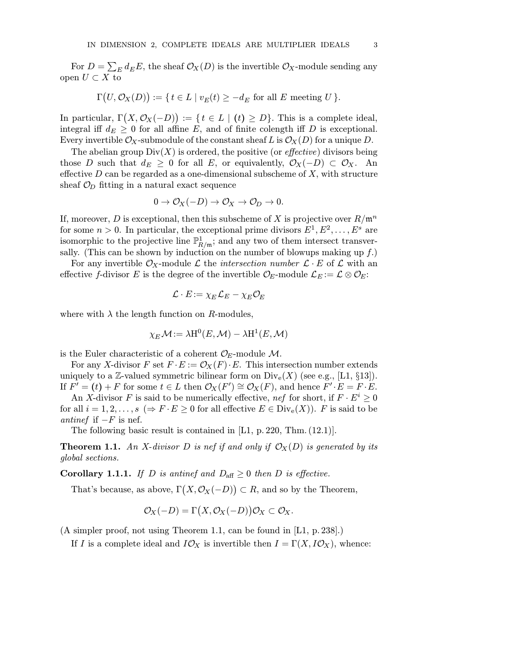For  $D = \sum_E d_E E$ , the sheaf  $\mathcal{O}_X(D)$  is the invertible  $\mathcal{O}_X$ -module sending any open  $U \subset X$  to

$$
\Gamma(U, \mathcal{O}_X(D)) := \{ t \in L \mid v_E(t) \ge -d_E \text{ for all } E \text{ meeting } U \}.
$$

In particular,  $\Gamma(X, \mathcal{O}_X(-D)) := \{ t \in L \mid (t) \ge D \}.$  This is a complete ideal, integral iff  $d_E \geq 0$  for all affine E, and of finite colength iff D is exceptional. Every invertible  $\mathcal{O}_X$ -submodule of the constant sheaf L is  $\mathcal{O}_X(D)$  for a unique D.

The abelian group  $Div(X)$  is ordered, the positive (or *effective*) divisors being those D such that  $d_E \geq 0$  for all E, or equivalently,  $\mathcal{O}_X(-D) \subset \mathcal{O}_X$ . An effective  $D$  can be regarded as a one-dimensional subscheme of  $X$ , with structure sheaf  $\mathcal{O}_D$  fitting in a natural exact sequence

$$
0 \to \mathcal{O}_X(-D) \to \mathcal{O}_X \to \mathcal{O}_D \to 0.
$$

If, moreover, D is exceptional, then this subscheme of X is projective over  $R/\mathfrak{m}^n$ for some  $n > 0$ . In particular, the exceptional prime divisors  $E^1, E^2, \ldots, E^s$  are isomorphic to the projective line  $\mathbb{P}^1_{R/\mathfrak{m}}$ ; and any two of them intersect transversally. (This can be shown by induction on the number of blowups making up  $f$ .)

For any invertible  $\mathcal{O}_X$ -module  $\mathcal L$  the *intersection number*  $\mathcal L \cdot E$  of  $\mathcal L$  with an effective f-divisor E is the degree of the invertible  $\mathcal{O}_E$ -module  $\mathcal{L}_E := \mathcal{L} \otimes \mathcal{O}_E$ :

$$
\mathcal{L}\cdot E\!:=\chi_E\mathcal{L}_E-\chi_E\mathcal{O}_E
$$

where with  $\lambda$  the length function on R-modules,

$$
\chi_E \mathcal{M}\!:=\lambda\text{H}^0(E,\mathcal{M})-\lambda\text{H}^1(E,\mathcal{M})
$$

is the Euler characteristic of a coherent  $\mathcal{O}_E$ -module  $\mathcal{M}$ .

For any X-divisor F set  $F \cdot E := \mathcal{O}_X(F) \cdot E$ . This intersection number extends uniquely to a Z-valued symmetric bilinear form on  $\text{Div}_e(X)$  (see e.g., [L1, §13]). If  $F' = (t) + F$  for some  $t \in L$  then  $\mathcal{O}_X(F') \cong \mathcal{O}_X(F)$ , and hence  $F' \cdot E = F \cdot E$ .

An X-divisor F is said to be numerically effective, nef for short, if  $F \cdot E^i \geq 0$ for all  $i = 1, 2, \ldots, s \ (\Rightarrow F \cdot E \geq 0 \text{ for all effective } E \in Div_e(X)$ . F is said to be antinef if  $-F$  is nef.

The following basic result is contained in [L1, p. 220, Thm.  $(12.1)$ ].

**Theorem 1.1.** An X-divisor D is nef if and only if  $\mathcal{O}_X(D)$  is generated by its global sections.

**Corollary 1.1.1.** If D is antinef and  $D_{\text{aff}} \geq 0$  then D is effective.

That's because, as above,  $\Gamma(X, \mathcal{O}_X(-D)) \subset R$ , and so by the Theorem,

$$
\mathcal{O}_X(-D) = \Gamma(X, \mathcal{O}_X(-D))\mathcal{O}_X \subset \mathcal{O}_X.
$$

(A simpler proof, not using Theorem 1.1, can be found in [L1, p.238].)

If I is a complete ideal and  $I\mathcal{O}_X$  is invertible then  $I = \Gamma(X, I\mathcal{O}_X)$ , whence: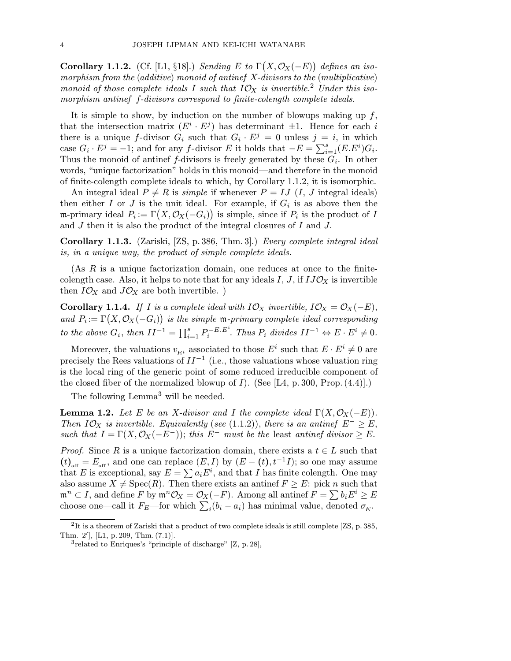Corollary 1.1.2. (Cf. [L1, §18].) Sending E to  $\Gamma(X, \mathcal{O}_X(-E))$  defines an isomorphism from the (additive) monoid of antinef X-divisors to the (multiplicative) monoid of those complete ideals I such that  $I\mathcal{O}_X$  is invertible.<sup>2</sup> Under this isomorphism antinef f-divisors correspond to finite-colength complete ideals.

It is simple to show, by induction on the number of blowups making up  $f$ , that the intersection matrix  $(E^i \cdot E^j)$  has determinant  $\pm 1$ . Hence for each i there is a unique f-divisor  $G_i$  such that  $G_i \cdot E^j = 0$  unless  $j = i$ , in which case  $G_i \cdot E^j = -1$ ; and for any f-divisor E it holds that  $-E = \sum_{i=1}^s (E.E^i)G_i$ . Thus the monoid of antinef f-divisors is freely generated by these  $G_i$ . In other words, "unique factorization" holds in this monoid—and therefore in the monoid of finite-colength complete ideals to which, by Corollary 1.1.2, it is isomorphic.

An integral ideal  $P \neq R$  is *simple* if whenever  $P = IJ$  (*I*, *J* integral ideals) then either I or J is the unit ideal. For example, if  $G_i$  is as above then the m-primary ideal  $P_i := \Gamma(X, \mathcal{O}_X(-G_i))$  is simple, since if  $P_i$  is the product of I and J then it is also the product of the integral closures of I and J.

Corollary 1.1.3. (Zariski, [ZS, p.386, Thm. 3].) Every complete integral ideal is, in a unique way, the product of simple complete ideals.

(As R is a unique factorization domain, one reduces at once to the finitecolength case. Also, it helps to note that for any ideals I, J, if  $IJO_X$  is invertible then  $I\mathcal{O}_X$  and  $J\mathcal{O}_X$  are both invertible.

Corollary 1.1.4. If I is a complete ideal with  $I\mathcal{O}_X$  invertible,  $I\mathcal{O}_X = \mathcal{O}_X(-E)$ , and  $P_i := \Gamma(X, \mathcal{O}_X(-G_i))$  is the simple m-primary complete ideal corresponding to the above  $G_i$ , then  $II^{-1} = \prod_{i=1}^s P_i^{-E.E^i}$ . Thus  $P_i$  divides  $II^{-1} \Leftrightarrow E \cdot E^i \neq 0$ .

Moreover, the valuations  $v_{E^i}$  associated to those  $E^i$  such that  $E \cdot E^i \neq 0$  are precisely the Rees valuations of  $II^{-1}$  (i.e., those valuations whose valuation ring is the local ring of the generic point of some reduced irreducible component of the closed fiber of the normalized blowup of  $I$ ). (See [L4, p. 300, Prop. (4.4)].)

The following Lemma<sup>3</sup> will be needed.

**Lemma 1.2.** Let E be an X-divisor and I the complete ideal  $\Gamma(X, \mathcal{O}_X(-E))$ . Then  $IO_X$  is invertible. Equivalently (see (1.1.2)), there is an antinef  $E^- \geq E$ , such that  $I = \Gamma(X, \mathcal{O}_X(-E^-));$  this  $E^-$  must be the least antinef divisor  $\geq E$ .

*Proof.* Since R is a unique factorization domain, there exists a  $t \in L$  such that  $(t)_{\text{aff}} = E_{\text{aff}}$ , and one can replace  $(E, I)$  by  $(E - (t), t^{-1}I)$ ; so one may assume that E is exceptional, say  $E = \sum a_i E^i$ , and that I has finite colength. One may also assume  $X \neq \text{Spec}(R)$ . Then there exists an antinef  $F \geq E$ : pick n such that  $\mathfrak{m}^n \subset I$ , and define F by  $\mathfrak{m}^n \mathcal{O}_X = \mathcal{O}_X(-F)$ . Among all antinef  $F = \sum b_i E^i \geq E$ choose one—call it  $F_E$ —for which  $\sum_i(b_i - a_i)$  has minimal value, denoted  $\sigma_E$ .

 $2$ It is a theorem of Zariski that a product of two complete ideals is still complete [ZS, p. 385, Thm.  $2'$ , [L1, p. 209, Thm.  $(7.1)$ ].

<sup>3</sup>related to Enriques's "principle of discharge" [Z, p. 28],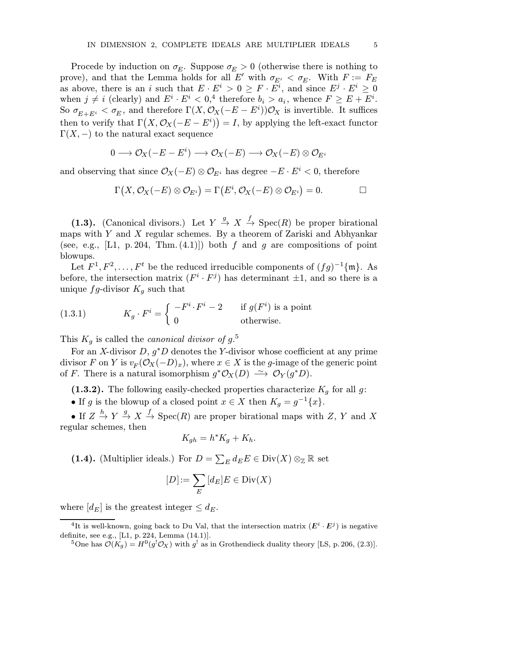Procede by induction on  $\sigma_E$ . Suppose  $\sigma_E > 0$  (otherwise there is nothing to prove), and that the Lemma holds for all E' with  $\sigma_{E'} < \sigma_E$ . With  $F := F_E$ as above, there is an i such that  $E \cdot E^i > 0 \ge F \cdot E^i$ , and since  $E^j \cdot E^i \ge 0$ when  $j \neq i$  (clearly) and  $E^i \cdot E^i < 0$ ,<sup>4</sup> therefore  $b_i > a_i$ , whence  $F \geq E + E^i$ . So  $\sigma_{E+E^i} < \sigma_E$ , and therefore  $\Gamma(X, \mathcal{O}_X(-E-E^i))\mathcal{O}_X$  is invertible. It suffices then to verify that  $\Gamma(X, \mathcal{O}_X(-E - E^i)) = I$ , by applying the left-exact functor  $\Gamma(X, -)$  to the natural exact sequence

$$
0\longrightarrow \mathcal{O}_X(-E-E^i)\longrightarrow \mathcal{O}_X(-E)\longrightarrow \mathcal{O}_X(-E)\otimes \mathcal{O}_{E^i}
$$

and observing that since  $\mathcal{O}_X(-E) \otimes \mathcal{O}_{E^i}$  has degree  $-E \cdot E^i < 0$ , therefore

$$
\Gamma\bigl(X,{\mathcal O}_X(-E)\otimes{\mathcal O}_{E^i}\bigr)=\Gamma\bigl(E^i,{\mathcal O}_X(-E)\otimes{\mathcal O}_{E^i}\bigr)=0.\qquad \qquad \Box
$$

(1.3). (Canonical divisors.) Let  $Y \stackrel{g}{\rightarrow} X \stackrel{f}{\rightarrow} \text{Spec}(R)$  be proper birational maps with  $Y$  and  $X$  regular schemes. By a theorem of Zariski and Abhyankar (see, e.g., [L1, p. 204, Thm.  $(4.1)$ ]) both f and g are compositions of point blowups.

Let  $F^1, F^2, \ldots, F^t$  be the reduced irreducible components of  $(fg)^{-1}\{\mathfrak{m}\}\)$ . As before, the intersection matrix  $(F^i \cdot F^j)$  has determinant  $\pm 1$ , and so there is a unique  $fg$ -divisor  $K_q$  such that

(1.3.1) 
$$
K_g \cdot F^i = \begin{cases} -F^i \cdot F^i - 2 & \text{if } g(F^i) \text{ is a point} \\ 0 & \text{otherwise.} \end{cases}
$$

This  $K_g$  is called the *canonical divisor of*  $g$ <sup>5</sup>.

For an X-divisor  $D, g^*D$  denotes the Y-divisor whose coefficient at any prime divisor F on Y is  $v_F(\mathcal{O}_X(-D)_x)$ , where  $x \in X$  is the g-image of the generic point of F. There is a natural isomorphism  $g^* \mathcal{O}_X(D) \longrightarrow \mathcal{O}_Y(g^*D)$ .

(1.3.2). The following easily-checked properties characterize  $K_q$  for all g:

• If g is the blowup of a closed point  $x \in X$  then  $K_g = g^{-1}\{x\}.$ 

• If  $Z \stackrel{h}{\to} Y \stackrel{g}{\to} X \stackrel{f}{\to} \text{Spec}(R)$  are proper birational maps with  $Z, Y$  and X regular schemes, then

$$
K_{gh} = h^* K_g + K_h.
$$

(1.4). (Multiplier ideals.) For  $D = \sum_E d_E E \in \text{Div}(X) \otimes_{\mathbb{Z}} \mathbb{R}$  set

$$
[D]\!:=\sum_E\,[d_E]E\in\mathrm{Div}(X)
$$

where  $[d_E]$  is the greatest integer  $\leq d_E$ .

<sup>&</sup>lt;sup>4</sup>It is well-known, going back to Du Val, that the intersection matrix  $(E^i \cdot E^j)$  is negative definite, see e.g., [L1, p. 224, Lemma (14.1)].

<sup>&</sup>lt;sup>5</sup>One has  $\mathcal{O}(K_g) = H^0(g^!\mathcal{O}_X)$  with  $g^!$  as in Grothendieck duality theory [LS, p. 206, (2.3)].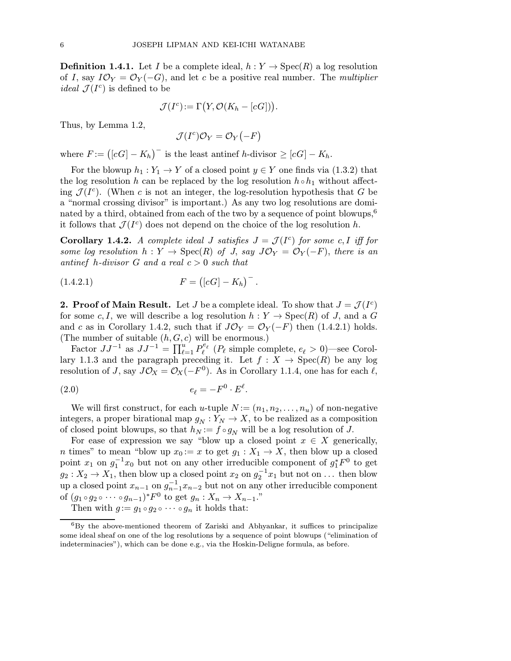**Definition 1.4.1.** Let I be a complete ideal,  $h: Y \to \text{Spec}(R)$  a log resolution of I, say  $I\mathcal{O}_Y = \mathcal{O}_Y(-G)$ , and let c be a positive real number. The *multiplier ideal*  $\mathcal{J}(I^c)$  is defined to be

$$
\mathcal{J}(I^c) := \Gamma(Y, \mathcal{O}(K_h - [cG])).
$$

Thus, by Lemma 1.2,

$$
\mathcal{J}(I^c)\mathcal{O}_Y=\mathcal{O}_Y(-F)
$$

where  $F := (\lfloor cG \rfloor - K_h)^{-1}$  is the least antinef h-divisor  $\geq \lfloor cG \rfloor - K_h$ .

For the blowup  $h_1 : Y_1 \to Y$  of a closed point  $y \in Y$  one finds via (1.3.2) that the log resolution h can be replaced by the log resolution  $h \circ h_1$  without affecting  $\mathcal{J}(I^c)$ . (When c is not an integer, the log-resolution hypothesis that G be a "normal crossing divisor" is important.) As any two log resolutions are dominated by a third, obtained from each of the two by a sequence of point blowups,<sup>6</sup> it follows that  $\mathcal{J}(I^c)$  does not depend on the choice of the log resolution h.

**Corollary 1.4.2.** A complete ideal J satisfies  $J = \mathcal{J}(I^c)$  for some c, I iff for some log resolution  $h: Y \to \text{Spec}(R)$  of J, say  $J\mathcal{O}_Y = \mathcal{O}_Y(-F)$ , there is an antinef h-divisor G and a real  $c > 0$  such that

(1.4.2.1) 
$$
F = ([cG] - K_h)^{-}.
$$

**2. Proof of Main Result.** Let J be a complete ideal. To show that  $J = \mathcal{J}(I^c)$ for some c, I, we will describe a log resolution  $h: Y \to \text{Spec}(R)$  of J, and a G and c as in Corollary 1.4.2, such that if  $J\mathcal{O}_Y = \mathcal{O}_Y(-F)$  then (1.4.2.1) holds. (The number of suitable  $(h, G, c)$  will be enormous.)

Factor  $JJ^{-1}$  as  $JJ^{-1} = \prod_{\ell=1}^{u} P_{\ell}^{e_{\ell}}$  ( $P_{\ell}$  simple complete,  $e_{\ell} > 0$ )—see Corollary 1.1.3 and the paragraph preceding it. Let  $f : X \to \text{Spec}(R)$  be any log resolution of J, say  $J\mathcal{O}_X = \mathcal{O}_X(-F^0)$ . As in Corollary 1.1.4, one has for each  $\ell$ ,

$$
(2.0) \t\t e_{\ell} = -F^0 \cdot E^{\ell}.
$$

We will first construct, for each u-tuple  $N := (n_1, n_2, \ldots, n_u)$  of non-negative integers, a proper birational map  $g_N : Y_N \to X$ , to be realized as a composition of closed point blowups, so that  $h_N := f \circ g_N$  will be a log resolution of J.

For ease of expression we say "blow up a closed point  $x \in X$  generically, n times" to mean "blow up  $x_0 := x$  to get  $g_1 : X_1 \to X$ , then blow up a closed point  $x_1$  on  $g_1^{-1}x_0$  but not on any other irreducible component of  $g_1^*F^0$  to get  $g_2: X_2 \to X_1$ , then blow up a closed point  $x_2$  on  $g_2^{-1}x_1$  but not on ... then blow up a closed point  $x_{n-1}$  on  $g_{n-1}^{-1}x_{n-2}$  but not on any other irreducible component of  $(g_1 \circ g_2 \circ \cdots \circ g_{n-1})^* F^0$  to get  $g_n : X_n \to X_{n-1}$ ."

Then with  $g := g_1 \circ g_2 \circ \cdots \circ g_n$  it holds that:

 ${}^{6}$ By the above-mentioned theorem of Zariski and Abhyankar, it suffices to principalize some ideal sheaf on one of the log resolutions by a sequence of point blowups ("elimination of indeterminacies"), which can be done e.g., via the Hoskin-Deligne formula, as before.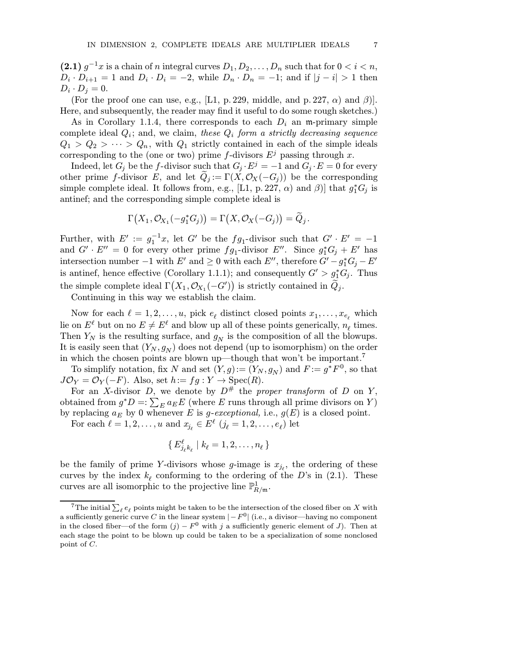(2.1)  $g^{-1}x$  is a chain of n integral curves  $D_1, D_2, \ldots, D_n$  such that for  $0 < i < n$ ,  $D_i \cdot D_{i+1} = 1$  and  $D_i \cdot D_i = -2$ , while  $D_n \cdot D_n = -1$ ; and if  $|j - i| > 1$  then  $D_i \cdot D_j = 0.$ 

(For the proof one can use, e.g., [L1, p. 229, middle, and p. 227,  $\alpha$ ) and  $\beta$ )]. Here, and subsequently, the reader may find it useful to do some rough sketches.)

As in Corollary 1.1.4, there corresponds to each  $D_i$  an m-primary simple complete ideal  $Q_i$ ; and, we claim, these  $Q_i$  form a strictly decreasing sequence  $Q_1 > Q_2 > \cdots > Q_n$ , with  $Q_1$  strictly contained in each of the simple ideals corresponding to the (one or two) prime f-divisors  $E^j$  passing through x.

Indeed, let  $G_j$  be the f-divisor such that  $G_j \cdot E^j = -1$  and  $G_j \cdot E = 0$  for every other prime f-divisor E, and let  $Q_j := \Gamma(X, \mathcal{O}_X(-G_j))$  be the corresponding simple complete ideal. It follows from, e.g., [L1, p. 227,  $\alpha$ ) and  $\beta$ ] that  $g_1^*G_j$  is antinef; and the corresponding simple complete ideal is

$$
\Gamma(X_1,\mathcal{O}_{X_1}(-g_1^*G_j)) = \Gamma(X,\mathcal{O}_X(-G_j)) = \widetilde{Q}_j.
$$

Further, with  $E' := g_1^{-1}x$ , let G' be the  $fg_1$ -divisor such that  $G' \cdot E' = -1$ and  $G' \cdot E'' = 0$  for every other prime  $fg_1$ -divisor  $E''$ . Since  $g_1^* G_j + E'$  has intersection number  $-1$  with  $E'$  and  $\geq 0$  with each  $E''$ , therefore  $G'-g_1^*G_j - E'$ is antinef, hence effective (Corollary 1.1.1); and consequently  $G' > g_1^* G_j$ . Thus the simple complete ideal  $\Gamma(X_1, \mathcal{O}_{X_1}(-G'))$  is strictly contained in  $\widetilde{Q}_j$ .

Continuing in this way we establish the claim.

Now for each  $\ell = 1, 2, \ldots, u$ , pick  $e_{\ell}$  distinct closed points  $x_1, \ldots, x_{e_{\ell}}$  which lie on  $E^{\ell}$  but on no  $E \neq E^{\ell}$  and blow up all of these points generically,  $n_{\ell}$  times. Then  $Y_N$  is the resulting surface, and  $g_N$  is the composition of all the blowups. It is easily seen that  $(Y_N, g_N)$  does not depend (up to isomorphism) on the order in which the chosen points are blown up—though that won't be important.<sup>7</sup>

To simplify notation, fix N and set  $(Y, g) := (Y_N, g_N)$  and  $F := g^*F^0$ , so that  $J\mathcal{O}_Y = \mathcal{O}_Y(-F)$ . Also, set  $h := fg : Y \to \text{Spec}(R)$ .

For an X-divisor D, we denote by  $D^{\#}$  the proper transform of D on Y, obtained from  $g^*D =: \sum_E a_E E$  (where E runs through all prime divisors on Y) by replacing  $a_E$  by 0 whenever E is g-exceptional, i.e.,  $g(E)$  is a closed point.

For each  $\ell = 1, 2, \ldots, u$  and  $x_{j_\ell} \in E^\ell$   $(j_\ell = 1, 2, \ldots, e_\ell)$  let

$$
\set{E_{j_\ell k_\ell}^\ell \mid k_\ell=1,2,\ldots,n_\ell}
$$

be the family of prime Y-divisors whose g-image is  $x_{j_\ell}$ , the ordering of these curves by the index  $k_{\ell}$  conforming to the ordering of the D's in (2.1). These curves are all isomorphic to the projective line  $\mathbb{P}^1_{R/\mathfrak{m}}$ .

<sup>&</sup>lt;sup>7</sup>The initial  $\sum_{\ell} e_{\ell}$  points might be taken to be the intersection of the closed fiber on X with a sufficiently generic curve C in the linear system  $|-F^0|$  (i.e., a divisor—having no component in the closed fiber—of the form  $(j) - F^0$  with j a sufficiently generic element of J). Then at each stage the point to be blown up could be taken to be a specialization of some nonclosed point of C.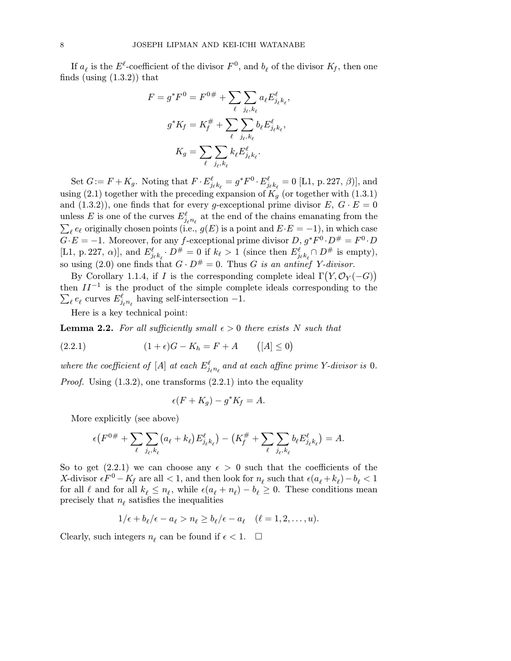If  $a_\ell$  is the  $E^\ell$ -coefficient of the divisor  $F^0$ , and  $b_\ell$  of the divisor  $K_f$ , then one finds (using  $(1.3.2)$ ) that

$$
F = g^* F^0 = F^{0\#} + \sum_{\ell} \sum_{j_{\ell}, k_{\ell}} a_{\ell} E_{j_{\ell} k_{\ell}}^{\ell},
$$

$$
g^* K_f = K_f^{\#} + \sum_{\ell} \sum_{j_{\ell}, k_{\ell}} b_{\ell} E_{j_{\ell} k_{\ell}}^{\ell},
$$

$$
K_g = \sum_{\ell} \sum_{j_{\ell}, k_{\ell}} k_{\ell} E_{j_{\ell} k_{\ell}}^{\ell}.
$$

Set  $G := F + K_g$ . Noting that  $F \cdot E^{\ell}_{j_{\ell}k_{\ell}} = g^*F^0 \cdot E^{\ell}_{j_{\ell}k_{\ell}} = 0$  [L1, p. 227,  $\beta$ )], and using (2.1) together with the preceding expansion of  $K_q$  (or together with (1.3.1) and  $(1.3.2)$ , one finds that for every g-exceptional prime divisor  $E, G \cdot E = 0$ unless E is one of the curves  $E^{\ell}_{j_{\ell}n_{\ell}}$  at the end of the chains emanating from the  $\sum_{\ell} e_{\ell}$  originally chosen points (i.e.,  $g(E)$  is a point and  $E \cdot E = -1$ ), in which case  $G \cdot E = -1$ . Moreover, for any f-exceptional prime divisor  $D, g^*F^0 \cdot D^{\#} = F^0 \cdot D$ [L1, p. 227,  $\alpha$ ], and  $E^{\ell}_{j_{\ell}k_{\ell}} \cdot D^{\#} = 0$  if  $k_{\ell} > 1$  (since then  $E^{\ell}_{j_{\ell}k_{\ell}} \cap D^{\#}$  is empty), so using (2.0) one finds that  $G \cdot D^{\#} = 0$ . Thus G is an antinef Y-divisor.

By Corollary 1.1.4, if I is the corresponding complete ideal  $\Gamma(Y, \mathcal{O}_Y(-G))$ then  $II^{-1}$  is the product of the simple complete ideals corresponding to the  $\sum_\ell e_\ell$  curves  $E^\ell_{j_\ell n_\ell}$  having self-intersection  $-1.$ 

Here is a key technical point:

**Lemma 2.2.** For all sufficiently small  $\epsilon > 0$  there exists N such that

(2.2.1) 
$$
(1+\epsilon)G - K_h = F + A \qquad ([A] \le 0)
$$

where the coefficient of [A] at each  $E^{\ell}_{j_{\ell}n_{\ell}}$  and at each affine prime Y-divisor is 0.

*Proof.* Using  $(1.3.2)$ , one transforms  $(2.2.1)$  into the equality

$$
\epsilon(F+K_g) - g^*K_f = A.
$$

More explicitly (see above)

$$
\epsilon(F^{0\#} + \sum_{\ell} \sum_{j_{\ell},k_{\ell}} (a_{\ell} + k_{\ell}) E^{\ell}_{j_{\ell}k_{\ell}}) - (K^{\#}_{f} + \sum_{\ell} \sum_{j_{\ell},k_{\ell}} b_{\ell} E^{\ell}_{j_{\ell}k_{\ell}}) = A.
$$

So to get (2.2.1) we can choose any  $\epsilon > 0$  such that the coefficients of the X-divisor  $\epsilon F^0 - K_f$  are all < 1, and then look for  $n_\ell$  such that  $\epsilon (a_\ell + k_\ell) - b_\ell < 1$ for all  $\ell$  and for all  $k_{\ell} \leq n_{\ell}$ , while  $\epsilon (a_{\ell} + n_{\ell}) - b_{\ell} \geq 0$ . These conditions mean precisely that  $n_\ell$  satisfies the inequalities

$$
1/\epsilon + b_{\ell}/\epsilon - a_{\ell} > n_{\ell} \ge b_{\ell}/\epsilon - a_{\ell} \quad (\ell = 1, 2, \ldots, u).
$$

Clearly, such integers  $n_\ell$  can be found if  $\epsilon < 1$ .  $\Box$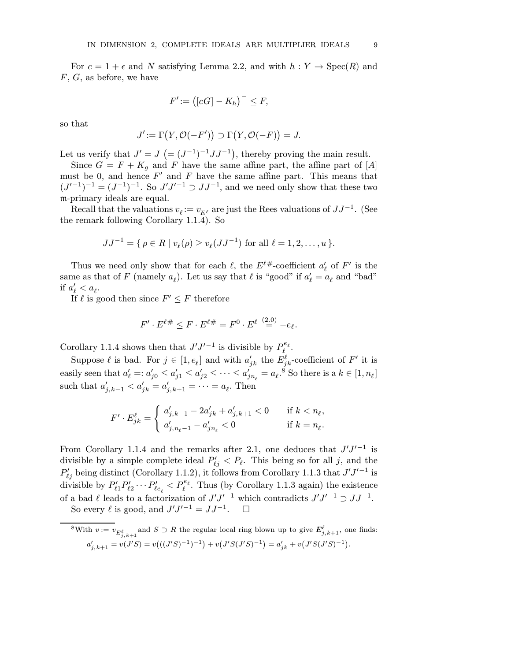For  $c = 1 + \epsilon$  and N satisfying Lemma 2.2, and with  $h : Y \to \text{Spec}(R)$  and  $F, G$ , as before, we have

$$
F' := \big([cG] - K_h\big)^- \le F,
$$

so that

$$
J' := \Gamma(Y, \mathcal{O}(-F')) \supset \Gamma(Y, \mathcal{O}(-F)) = J.
$$

Let us verify that  $J' = J$   $(=(J^{-1})^{-1}JJ^{-1})$ , thereby proving the main result.

Since  $G = F + K_g$  and F have the same affine part, the affine part of [A] must be 0, and hence  $F'$  and  $F$  have the same affine part. This means that  $(J'^{-1})^{-1} = (J^{-1})^{-1}$ . So  $J'J'^{-1} \supset JJ^{-1}$ , and we need only show that these two m-primary ideals are equal.

Recall that the valuations  $v_{\ell} := v_{E^{\ell}}$  are just the Rees valuations of  $JJ^{-1}$ . (See the remark following Corollary 1.1.4). So

$$
JJ^{-1} = \{ \rho \in R \mid v_{\ell}(\rho) \ge v_{\ell}(JJ^{-1}) \text{ for all } \ell = 1, 2, ..., u \}.
$$

Thus we need only show that for each  $\ell$ , the  $E^{\ell\#}$ -coefficient  $a'_{\ell}$  of  $F'$  is the same as that of F (namely  $a_{\ell}$ ). Let us say that  $\ell$  is "good" if  $a'_{\ell} = a_{\ell}$  and "bad" if  $a'_\ell < a_\ell$ .

If  $\ell$  is good then since  $F' \leq F$  therefore

$$
F' \cdot E^{\ell \#} \leq F \cdot E^{\ell \#} = F^0 \cdot E^{\ell} \stackrel{(2.0)}{=} -e_{\ell}.
$$

Corollary 1.1.4 shows then that  $J'J'^{-1}$  is divisible by  $P_{\ell}^{e_{\ell}}$ .

Suppose  $\ell$  is bad. For  $j \in [1, e_\ell]$  and with  $a'_{jk}$  the  $E_{jk}^{\ell}$ -coefficient of  $F'$  it is easily seen that  $a'_\ell =: a'_{j0} \le a'_{j1} \le a'_{j2} \le \cdots \le a'_{jn_\ell} = a_\ell$ <sup>8</sup> So there is a  $k \in [1, n_\ell]$ such that  $a'_{j,k-1} < a'_{jk} = a'_{j,k+1} = \cdots = a_{\ell}$ . Then

$$
F'\cdot E^\ell_{jk}=\left\{\begin{array}{ll} a'_{j,k-1}-2a'_{jk}+a'_{j,k+1}<0& \text{ if } k
$$

From Corollary 1.1.4 and the remarks after 2.1, one deduces that  $J'J'^{-1}$  is divisible by a simple complete ideal  $P'_{\ell j} < P_{\ell}$ . This being so for all j, and the  $P'_{\ell j}$  being distinct (Corollary 1.1.2), it follows from Corollary 1.1.3 that  $J'J'^{-1}$  is divisible by  $P'_{\ell 1} P'_{\ell 2} \cdots P'_{\ell e_\ell} < P_{\ell}^{e_\ell}$ . Thus (by Corollary 1.1.3 again) the existence of a bad  $\ell$  leads to a factorization of  $J'J'^{-1}$  which contradicts  $J'J'^{-1} \supset JJ^{-1}$ . So every  $\ell$  is good, and  $J'J'^{-1} = JJ^{-1}$ .  $\Box$ 

<sup>&</sup>lt;sup>8</sup>With  $v := v_{E_{j,k+1}^{\ell}}$  and  $S \supset R$  the regular local ring blown up to give  $E_{j,k+1}^{\ell}$ , one finds:  $a'_{j,k+1} = v(J'S) = v\big(((J'S)^{-1})^{-1}\big) + v\big(J'S(J'S)^{-1}\big) = a'_{jk} + v\big(J'S(J'S)^{-1}\big).$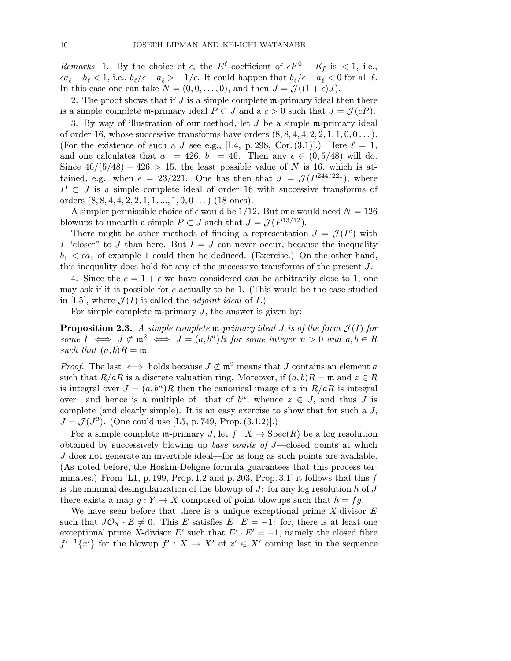Remarks. 1. By the choice of  $\epsilon$ , the  $E^{\ell}$ -coefficient of  $\epsilon F^0 - K_f$  is < 1, i.e.,  $\epsilon a_{\ell} - b_{\ell} < 1$ , i.e.,  $b_{\ell}/\epsilon - a_{\ell} > -1/\epsilon$ . It could happen that  $b_{\ell}/\epsilon - a_{\ell} < 0$  for all  $\ell$ . In this case one can take  $N = (0, 0, \ldots, 0)$ , and then  $J = \mathcal{J}((1+\epsilon)J)$ .

2. The proof shows that if  $J$  is a simple complete m-primary ideal then there is a simple complete m-primary ideal  $P \subset J$  and a  $c > 0$  such that  $J = \mathcal{J}(cP)$ .

3. By way of illustration of our method, let J be a simple m-primary ideal of order 16, whose successive transforms have orders  $(8, 8, 4, 4, 2, 2, 1, 1, 0, 0 \ldots)$ . (For the existence of such a J see e.g., [L4, p. 298, Cor. (3.1)].) Here  $\ell = 1$ , and one calculates that  $a_1 = 426$ ,  $b_1 = 46$ . Then any  $\epsilon \in (0, 5/48)$  will do. Since  $46/(5/48) - 426 > 15$ , the least possible value of N is 16, which is attained, e.g., when  $\epsilon = 23/221$ . One has then that  $J = \mathcal{J}(P^{244/221})$ , where  $P \subset J$  is a simple complete ideal of order 16 with successive transforms of orders  $(8, 8, 4, 4, 2, 2, 1, 1, ..., 1, 0, 0...)$  (18 ones).

A simpler permissible choice of  $\epsilon$  would be 1/12. But one would need  $N = 126$ blowups to unearth a simple  $P \subset J$  such that  $J = \mathcal{J}(P^{13/12})$ .

There might be other methods of finding a representation  $J = \mathcal{J}(I^c)$  with I "closer" to J than here. But  $I = J$  can never occur, because the inequality  $b_1 < \epsilon a_1$  of example 1 could then be deduced. (Exercise.) On the other hand, this inequality does hold for any of the successive transforms of the present J.

4. Since the  $c = 1 + \epsilon$  we have considered can be arbitrarily close to 1, one may ask if it is possible for  $c$  actually to be 1. (This would be the case studied in [L5], where  $\mathcal{J}(I)$  is called the *adjoint ideal* of I.)

For simple complete  $m$ -primary  $J$ , the answer is given by:

**Proposition 2.3.** A simple complete m-primary ideal J is of the form  $\mathcal{J}(I)$  for some  $I \iff J \not\subset \mathfrak{m}^2 \iff J = (a, b^n)R$  for some integer  $n > 0$  and  $a, b \in R$ such that  $(a, b)R = \mathfrak{m}$ .

*Proof.* The last  $\iff$  holds because  $J \not\subset \mathfrak{m}^2$  means that J contains an element a such that  $R/aR$  is a discrete valuation ring. Moreover, if  $(a, b)R = \mathfrak{m}$  and  $z \in R$ is integral over  $J = (a, b^n)R$  then the canonical image of z in  $R/aR$  is integral over—and hence is a multiple of—that of  $b^n$ , whence  $z \in J$ , and thus J is complete (and clearly simple). It is an easy exercise to show that for such a J,  $J = \mathcal{J}(J^2)$ . (One could use [L5, p. 749, Prop. (3.1.2)].)

For a simple complete m-primary J, let  $f: X \to \text{Spec}(R)$  be a log resolution obtained by successively blowing up base points of  $J$ —closed points at which J does not generate an invertible ideal—for as long as such points are available. (As noted before, the Hoskin-Deligne formula guarantees that this process terminates.) From  $[L1, p.199, Prop.1.2 \text{ and } p.203, Prop.3.1]$  it follows that this f is the minimal desingularization of the blowup of  $J$ : for any log resolution h of  $J$ there exists a map  $g: Y \to X$  composed of point blowups such that  $h = fg$ .

We have seen before that there is a unique exceptional prime  $X$ -divisor  $E$ such that  $J\mathcal{O}_X \cdot E \neq 0$ . This E satisfies  $E \cdot E = -1$ : for, there is at least one exceptional prime X-divisor  $E'$  such that  $E' \cdot E' = -1$ , namely the closed fibre  $f'^{-1}\lbrace x'\rbrace$  for the blowup  $f' : X \to X'$  of  $x' \in X'$  coming last in the sequence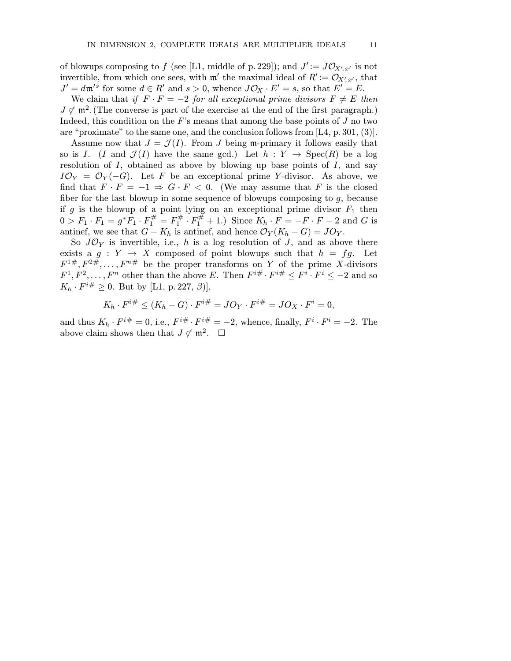of blowups composing to f (see [L1, middle of p. 229]); and  $J' := J\mathcal{O}_{X',x'}$  is not invertible, from which one sees, with  $\mathfrak{m}'$  the maximal ideal of  $R' := \mathcal{O}_{X', x'}$ , that  $J' = d\mathfrak{m}'^s$  for some  $d \in R'$  and  $s > 0$ , whence  $J\mathcal{O}_X \cdot E' = s$ , so that  $E' = E$ .

We claim that if  $F \cdot F = -2$  for all exceptional prime divisors  $F \neq E$  then  $J \not\subset \mathfrak{m}^2$ . (The converse is part of the exercise at the end of the first paragraph.) Indeed, this condition on the  $F$ 's means that among the base points of  $J$  no two are "proximate" to the same one, and the conclusion follows from  $[L4, p.301, (3)]$ .

Assume now that  $J = \mathcal{J}(I)$ . From J being m-primary it follows easily that so is I. (I and  $\mathcal{J}(I)$  have the same gcd.) Let  $h: Y \to \text{Spec}(R)$  be a log resolution of  $I$ , obtained as above by blowing up base points of  $I$ , and say  $I\mathcal{O}_Y = \mathcal{O}_Y(-G)$ . Let F be an exceptional prime Y-divisor. As above, we find that  $F \cdot F = -1 \Rightarrow G \cdot F < 0$ . (We may assume that F is the closed fiber for the last blowup in some sequence of blowups composing to g, because if g is the blowup of a point lying on an exceptional prime divisor  $F_1$  then  $0 > F_1 \cdot F_1 = g^* F_1 \cdot F_1^{\#} = F_1^{\#} \cdot F_1^{\#} + 1$ .) Since  $K_h \cdot F = -F \cdot F - 2$  and G is antinef, we see that  $G - K_h$  is antinef, and hence  $\mathcal{O}_Y(K_h - G) = JO_Y$ .

So  $J\mathcal{O}_Y$  is invertible, i.e., h is a log resolution of J, and as above there exists a  $g: Y \to X$  composed of point blowups such that  $h = fg$ . Let  $F^{1\#}, F^{2\#}, \ldots, F^{n\#}$  be the proper transforms on Y of the prime X-divisors  $F^1, F^2, \ldots, F^n$  other than the above E. Then  $F^{i\#} \cdot F^{i\#} \leq F^i \cdot F^i \leq -2$  and so  $K_h \cdot F^{i\#} \geq 0$ . But by [L1, p. 227,  $\beta$ ],

$$
K_h \cdot F^{i\#} \le (K_h - G) \cdot F^{i\#} = JO_Y \cdot F^{i\#} = JO_X \cdot F^i = 0,
$$

and thus  $K_h \cdot F^{i\#} = 0$ , i.e.,  $F^{i\#} \cdot F^{i\#} = -2$ , whence, finally,  $F^i \cdot F^i = -2$ . The above claim shows then that  $J \not\subset \mathfrak{m}^2$ .  $\Box$